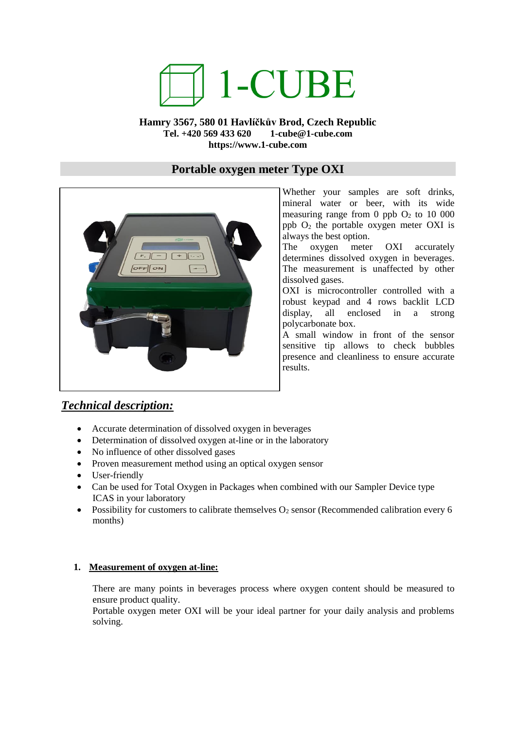# 1-CUBE

#### **Hamry 3567, 580 01 Havlíčkův Brod, Czech Republic Tel. +420 569 433 620 1-cube@1-cube.com https://www.1-cube.com**

### **Portable oxygen meter Type OXI**



Whether your samples are soft drinks, mineral water or beer, with its wide measuring range from 0 ppb  $O_2$  to 10 000 ppb  $O_2$  the portable oxygen meter OXI is always the best option.

The oxygen meter OXI accurately determines dissolved oxygen in beverages. The measurement is unaffected by other dissolved gases.

OXI is microcontroller controlled with a robust keypad and 4 rows backlit LCD display, all enclosed in a strong polycarbonate box.

A small window in front of the sensor sensitive tip allows to check bubbles presence and cleanliness to ensure accurate results.

## *Technical description:*

- Accurate determination of dissolved oxygen in beverages
- Determination of dissolved oxygen at-line or in the laboratory
- No influence of other dissolved gases
- Proven measurement method using an optical oxygen sensor
- User-friendly
- Can be used for Total Oxygen in Packages when combined with our Sampler Device type ICAS in your laboratory
- Possibility for customers to calibrate themselves  $O_2$  sensor (Recommended calibration every 6 months)

#### **1. Measurement of oxygen at-line:**

There are many points in beverages process where oxygen content should be measured to ensure product quality.

Portable oxygen meter OXI will be your ideal partner for your daily analysis and problems solving.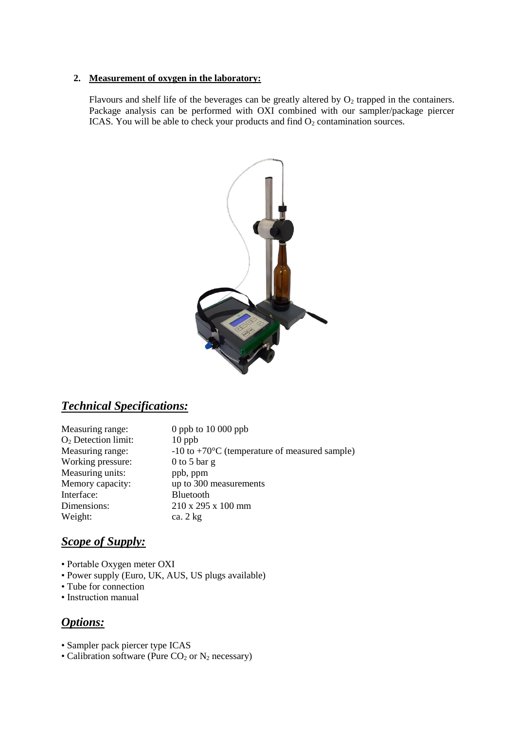#### **2. Measurement of oxygen in the laboratory:**

Flavours and shelf life of the beverages can be greatly altered by  $O_2$  trapped in the containers. Package analysis can be performed with OXI combined with our sampler/package piercer ICAS. You will be able to check your products and find  $O_2$  contamination sources.



## *Technical Specifications:*

| Measuring range:      | 0 ppb to $10000$ ppb                                      |
|-----------------------|-----------------------------------------------------------|
| $O2$ Detection limit: | $10$ ppb                                                  |
| Measuring range:      | $-10$ to $+70^{\circ}$ C (temperature of measured sample) |
| Working pressure:     | 0 to 5 bar $g$                                            |
| Measuring units:      | ppb, ppm                                                  |
| Memory capacity:      | up to 300 measurements                                    |
| Interface:            | Bluetooth                                                 |
| Dimensions:           | 210 x 295 x 100 mm                                        |
| Weight:               | ca. $2 \text{ kg}$                                        |

# *Scope of Supply:*

- Portable Oxygen meter OXI
- Power supply (Euro, UK, AUS, US plugs available)
- Tube for connection
- Instruction manual

## *Options:*

- Sampler pack piercer type ICAS
- Calibration software (Pure  $CO<sub>2</sub>$  or  $N<sub>2</sub>$  necessary)